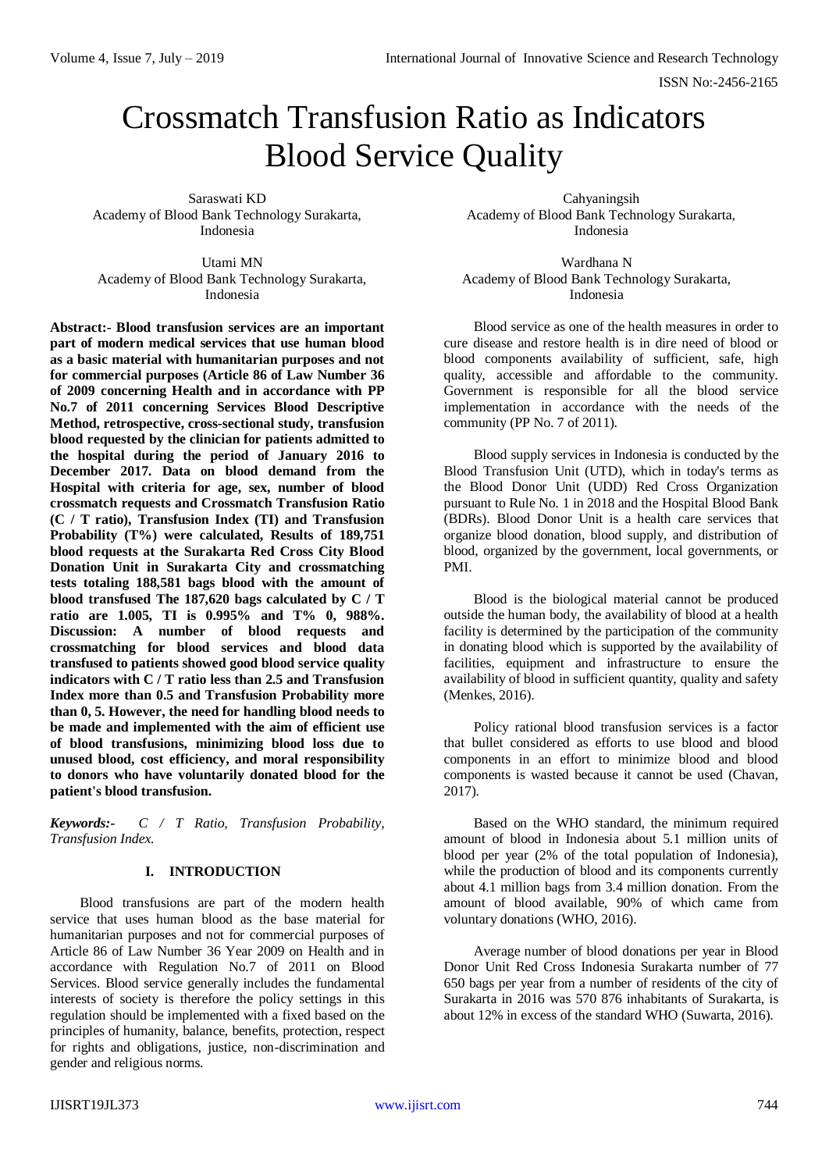ISSN No:-2456-2165

# Crossmatch Transfusion Ratio as Indicators Blood Service Quality

Saraswati KD Academy of Blood Bank Technology Surakarta, Indonesia

Utami MN Academy of Blood Bank Technology Surakarta, Indonesia

**Abstract:- Blood transfusion services are an important part of modern medical services that use human blood as a basic material with humanitarian purposes and not for commercial purposes (Article 86 of Law Number 36 of 2009 concerning Health and in accordance with PP No.7 of 2011 concerning Services Blood Descriptive Method, retrospective, cross-sectional study, transfusion blood requested by the clinician for patients admitted to the hospital during the period of January 2016 to December 2017. Data on blood demand from the Hospital with criteria for age, sex, number of blood crossmatch requests and Crossmatch Transfusion Ratio (C / T ratio), Transfusion Index (TI) and Transfusion Probability (T%) were calculated, Results of 189,751 blood requests at the Surakarta Red Cross City Blood Donation Unit in Surakarta City and crossmatching tests totaling 188,581 bags blood with the amount of blood transfused The 187,620 bags calculated by C / T ratio are 1.005, TI is 0.995% and T% 0, 988%. Discussion: A number of blood requests and crossmatching for blood services and blood data transfused to patients showed good blood service quality indicators with C / T ratio less than 2.5 and Transfusion Index more than 0.5 and Transfusion Probability more than 0, 5. However, the need for handling blood needs to be made and implemented with the aim of efficient use of blood transfusions, minimizing blood loss due to unused blood, cost efficiency, and moral responsibility to donors who have voluntarily donated blood for the patient's blood transfusion.**

*Keywords:- C / T Ratio, Transfusion Probability, Transfusion Index.*

# **I. INTRODUCTION**

Blood transfusions are part of the modern health service that uses human blood as the base material for humanitarian purposes and not for commercial purposes of Article 86 of Law Number 36 Year 2009 on Health and in accordance with Regulation No.7 of 2011 on Blood Services. Blood service generally includes the fundamental interests of society is therefore the policy settings in this regulation should be implemented with a fixed based on the principles of humanity, balance, benefits, protection, respect for rights and obligations, justice, non-discrimination and gender and religious norms.

Cahyaningsih Academy of Blood Bank Technology Surakarta, Indonesia

Wardhana N Academy of Blood Bank Technology Surakarta, Indonesia

Blood service as one of the health measures in order to cure disease and restore health is in dire need of blood or blood components availability of sufficient, safe, high quality, accessible and affordable to the community. Government is responsible for all the blood service implementation in accordance with the needs of the community (PP No. 7 of 2011).

Blood supply services in Indonesia is conducted by the Blood Transfusion Unit (UTD), which in today's terms as the Blood Donor Unit (UDD) Red Cross Organization pursuant to Rule No. 1 in 2018 and the Hospital Blood Bank (BDRs). Blood Donor Unit is a health care services that organize blood donation, blood supply, and distribution of blood, organized by the government, local governments, or PMI.

Blood is the biological material cannot be produced outside the human body, the availability of blood at a health facility is determined by the participation of the community in donating blood which is supported by the availability of facilities, equipment and infrastructure to ensure the availability of blood in sufficient quantity, quality and safety (Menkes, 2016).

Policy rational blood transfusion services is a factor that bullet considered as efforts to use blood and blood components in an effort to minimize blood and blood components is wasted because it cannot be used (Chavan, 2017).

Based on the WHO standard, the minimum required amount of blood in Indonesia about 5.1 million units of blood per year (2% of the total population of Indonesia), while the production of blood and its components currently about 4.1 million bags from 3.4 million donation. From the amount of blood available, 90% of which came from voluntary donations (WHO, 2016).

Average number of blood donations per year in Blood Donor Unit Red Cross Indonesia Surakarta number of 77 650 bags per year from a number of residents of the city of Surakarta in 2016 was 570 876 inhabitants of Surakarta, is about 12% in excess of the standard WHO (Suwarta, 2016).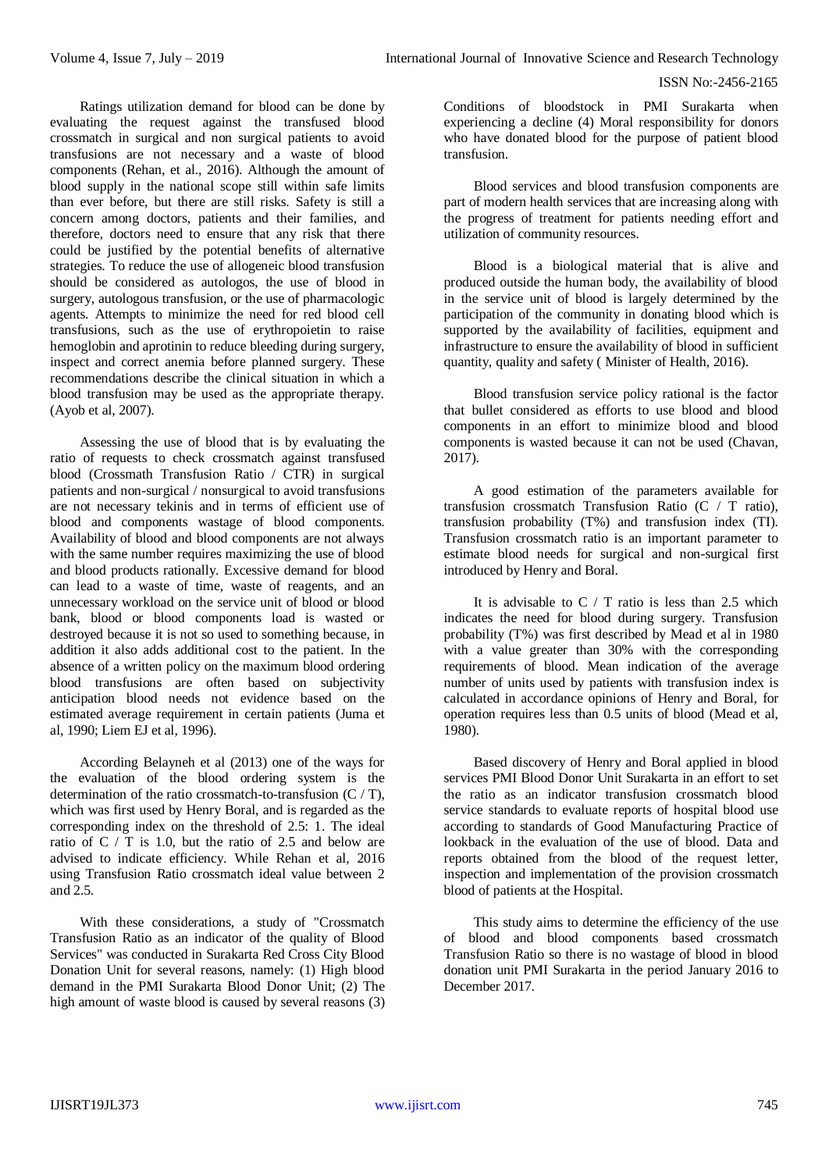Ratings utilization demand for blood can be done by evaluating the request against the transfused blood crossmatch in surgical and non surgical patients to avoid transfusions are not necessary and a waste of blood components (Rehan, et al., 2016). Although the amount of blood supply in the national scope still within safe limits than ever before, but there are still risks. Safety is still a concern among doctors, patients and their families, and therefore, doctors need to ensure that any risk that there could be justified by the potential benefits of alternative strategies. To reduce the use of allogeneic blood transfusion should be considered as autologos, the use of blood in surgery, autologous transfusion, or the use of pharmacologic agents. Attempts to minimize the need for red blood cell transfusions, such as the use of erythropoietin to raise hemoglobin and aprotinin to reduce bleeding during surgery, inspect and correct anemia before planned surgery. These recommendations describe the clinical situation in which a blood transfusion may be used as the appropriate therapy. (Ayob et al, 2007).

Assessing the use of blood that is by evaluating the ratio of requests to check crossmatch against transfused blood (Crossmath Transfusion Ratio / CTR) in surgical patients and non-surgical / nonsurgical to avoid transfusions are not necessary tekinis and in terms of efficient use of blood and components wastage of blood components. Availability of blood and blood components are not always with the same number requires maximizing the use of blood and blood products rationally. Excessive demand for blood can lead to a waste of time, waste of reagents, and an unnecessary workload on the service unit of blood or blood bank, blood or blood components load is wasted or destroyed because it is not so used to something because, in addition it also adds additional cost to the patient. In the absence of a written policy on the maximum blood ordering blood transfusions are often based on subjectivity anticipation blood needs not evidence based on the estimated average requirement in certain patients (Juma et al, 1990; Liem EJ et al, 1996).

According Belayneh et al (2013) one of the ways for the evaluation of the blood ordering system is the determination of the ratio crossmatch-to-transfusion  $(C/T)$ , which was first used by Henry Boral, and is regarded as the corresponding index on the threshold of 2.5: 1. The ideal ratio of  $C / T$  is 1.0, but the ratio of 2.5 and below are advised to indicate efficiency. While Rehan et al, 2016 using Transfusion Ratio crossmatch ideal value between 2 and 2.5.

With these considerations, a study of "Crossmatch Transfusion Ratio as an indicator of the quality of Blood Services" was conducted in Surakarta Red Cross City Blood Donation Unit for several reasons, namely: (1) High blood demand in the PMI Surakarta Blood Donor Unit; (2) The high amount of waste blood is caused by several reasons (3)

Conditions of bloodstock in PMI Surakarta when experiencing a decline (4) Moral responsibility for donors who have donated blood for the purpose of patient blood transfusion.

Blood services and blood transfusion components are part of modern health services that are increasing along with the progress of treatment for patients needing effort and utilization of community resources.

Blood is a biological material that is alive and produced outside the human body, the availability of blood in the service unit of blood is largely determined by the participation of the community in donating blood which is supported by the availability of facilities, equipment and infrastructure to ensure the availability of blood in sufficient quantity, quality and safety ( Minister of Health, 2016).

Blood transfusion service policy rational is the factor that bullet considered as efforts to use blood and blood components in an effort to minimize blood and blood components is wasted because it can not be used (Chavan, 2017).

A good estimation of the parameters available for transfusion crossmatch Transfusion Ratio (C / T ratio), transfusion probability (T%) and transfusion index (TI). Transfusion crossmatch ratio is an important parameter to estimate blood needs for surgical and non-surgical first introduced by Henry and Boral.

It is advisable to  $C / T$  ratio is less than 2.5 which indicates the need for blood during surgery. Transfusion probability (T%) was first described by Mead et al in 1980 with a value greater than 30% with the corresponding requirements of blood. Mean indication of the average number of units used by patients with transfusion index is calculated in accordance opinions of Henry and Boral, for operation requires less than 0.5 units of blood (Mead et al, 1980).

Based discovery of Henry and Boral applied in blood services PMI Blood Donor Unit Surakarta in an effort to set the ratio as an indicator transfusion crossmatch blood service standards to evaluate reports of hospital blood use according to standards of Good Manufacturing Practice of lookback in the evaluation of the use of blood. Data and reports obtained from the blood of the request letter, inspection and implementation of the provision crossmatch blood of patients at the Hospital.

This study aims to determine the efficiency of the use of blood and blood components based crossmatch Transfusion Ratio so there is no wastage of blood in blood donation unit PMI Surakarta in the period January 2016 to December 2017.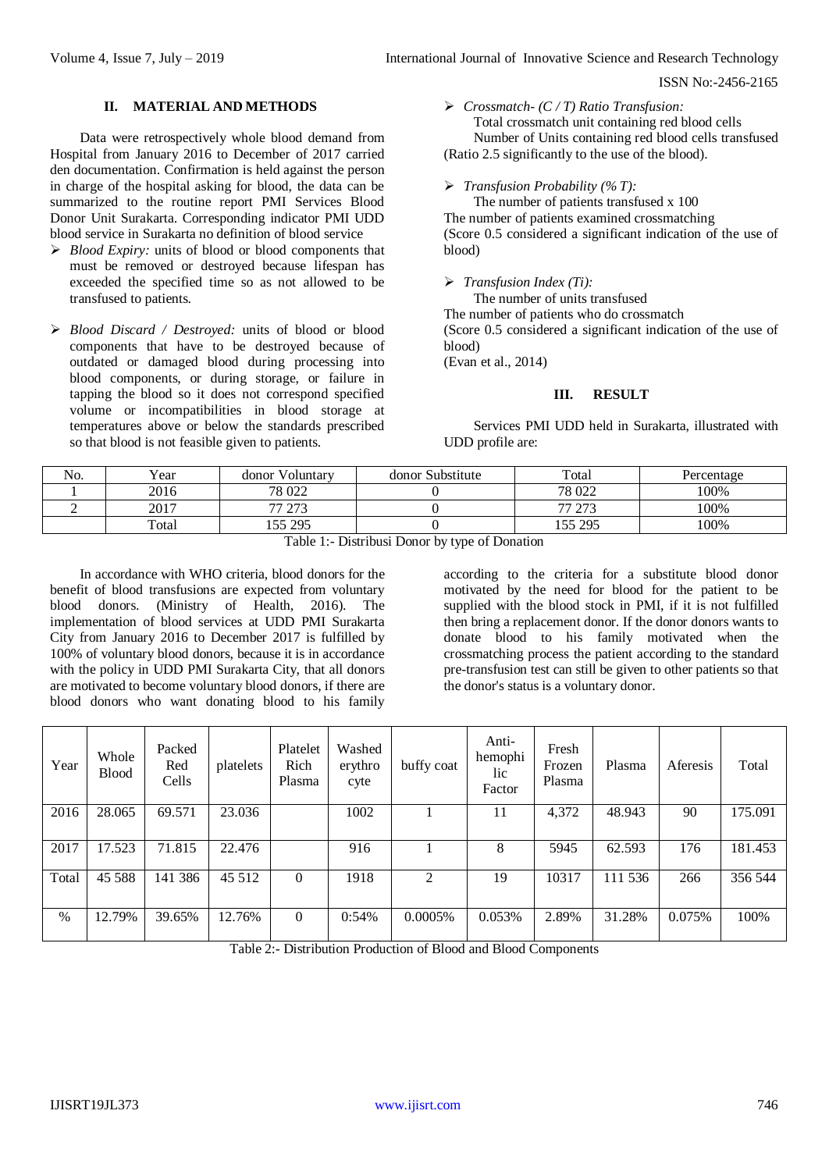### **II. MATERIAL AND METHODS**

Data were retrospectively whole blood demand from Hospital from January 2016 to December of 2017 carried den documentation. Confirmation is held against the person in charge of the hospital asking for blood, the data can be summarized to the routine report PMI Services Blood Donor Unit Surakarta. Corresponding indicator PMI UDD blood service in Surakarta no definition of blood service

- *Blood Expiry:* units of blood or blood components that must be removed or destroyed because lifespan has exceeded the specified time so as not allowed to be transfused to patients.
- *Blood Discard / Destroyed:* units of blood or blood components that have to be destroyed because of outdated or damaged blood during processing into blood components, or during storage, or failure in tapping the blood so it does not correspond specified volume or incompatibilities in blood storage at temperatures above or below the standards prescribed so that blood is not feasible given to patients.

### *Crossmatch- (C / T) Ratio Transfusion:*

Total crossmatch unit containing red blood cells Number of Units containing red blood cells transfused (Ratio 2.5 significantly to the use of the blood).

### *Transfusion Probability (% T):*

The number of patients transfused x 100 The number of patients examined crossmatching (Score 0.5 considered a significant indication of the use of blood)

#### *Transfusion Index (Ti):*

The number of units transfused The number of patients who do crossmatch (Score 0.5 considered a significant indication of the use of blood) (Evan et al., 2014)

### **III. RESULT**

Services PMI UDD held in Surakarta, illustrated with UDD profile are:

| No. | $v_{\text{ear}}$ | Voluntary<br>donor   | donor Substitute | Total                       | Percentage |
|-----|------------------|----------------------|------------------|-----------------------------|------------|
|     | 2016             | 78 022               |                  | 78 022                      | 100%       |
|     | 2017             | $\cap$<br>77<br>ر رے |                  | $\sim$<br><b>__</b><br>ر رے | 100%       |
|     | Total            | 155 295<br>2 J J     |                  | 155 295                     | 100%       |

Table 1:- Distribusi Donor by type of Donation

In accordance with WHO criteria, blood donors for the benefit of blood transfusions are expected from voluntary blood donors. (Ministry of Health, 2016). The implementation of blood services at UDD PMI Surakarta City from January 2016 to December 2017 is fulfilled by 100% of voluntary blood donors, because it is in accordance with the policy in UDD PMI Surakarta City, that all donors are motivated to become voluntary blood donors, if there are blood donors who want donating blood to his family

according to the criteria for a substitute blood donor motivated by the need for blood for the patient to be supplied with the blood stock in PMI, if it is not fulfilled then bring a replacement donor. If the donor donors wants to donate blood to his family motivated when the crossmatching process the patient according to the standard pre-transfusion test can still be given to other patients so that the donor's status is a voluntary donor.

| Year  | Whole<br>Blood | Packed<br>Red<br>Cells | platelets | Platelet<br>Rich<br>Plasma | Washed<br>erythro<br>cyte | buffy coat     | Anti-<br>hemophi<br>lic<br>Factor | Fresh<br>Frozen<br>Plasma | Plasma  | Aferesis | Total   |
|-------|----------------|------------------------|-----------|----------------------------|---------------------------|----------------|-----------------------------------|---------------------------|---------|----------|---------|
| 2016  | 28.065         | 69.571                 | 23.036    |                            | 1002                      |                | 11                                | 4,372                     | 48.943  | 90       | 175.091 |
| 2017  | 17.523         | 71.815                 | 22.476    |                            | 916                       |                | 8                                 | 5945                      | 62.593  | 176      | 181.453 |
| Total | 45 5 88        | 141 386                | 45 512    | $\Omega$                   | 1918                      | $\mathfrak{D}$ | 19                                | 10317                     | 111 536 | 266      | 356 544 |
| $\%$  | 12.79%         | 39.65%                 | 12.76%    | $\theta$                   | 0:54%                     | 0.0005%        | 0.053%                            | 2.89%                     | 31.28%  | 0.075%   | 100%    |

Table 2:- Distribution Production of Blood and Blood Components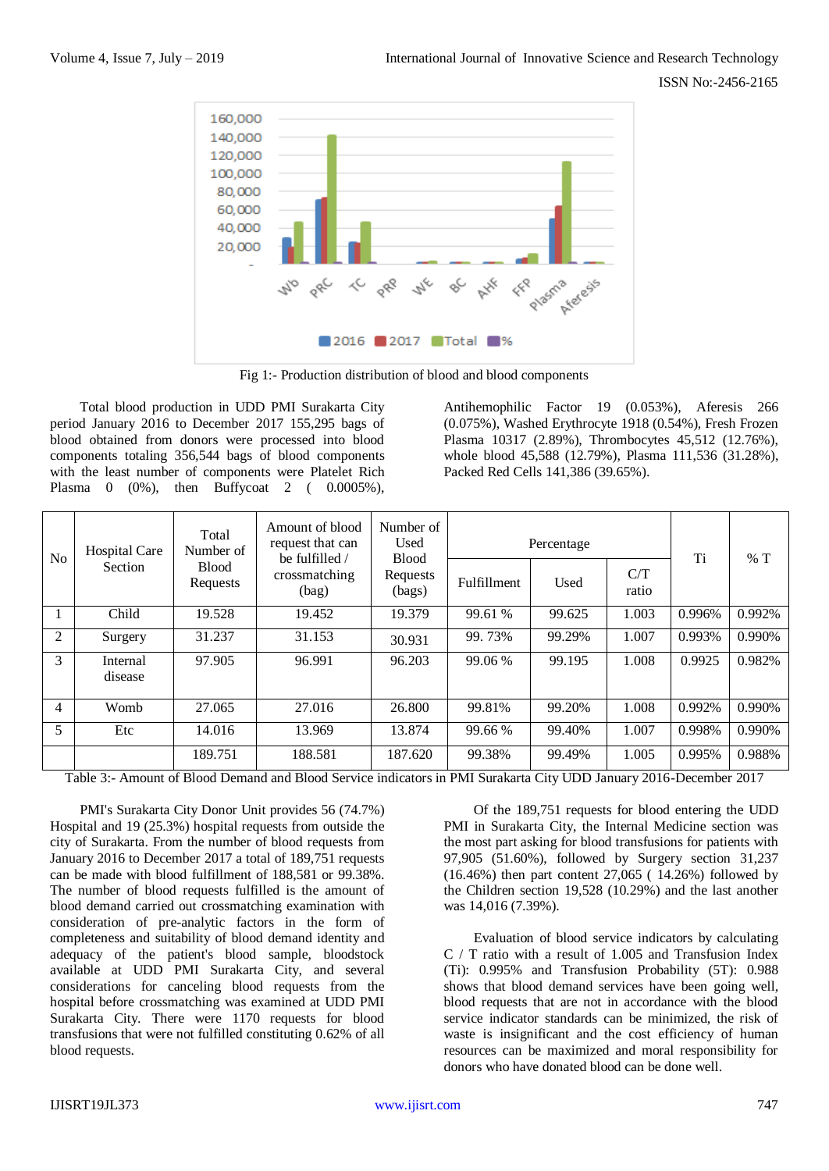

Fig 1:- Production distribution of blood and blood components

Total blood production in UDD PMI Surakarta City period January 2016 to December 2017 155,295 bags of blood obtained from donors were processed into blood components totaling 356,544 bags of blood components with the least number of components were Platelet Rich Plasma 0 (0%), then Buffycoat 2 ( 0.0005%),

Antihemophilic Factor 19 (0.053%), Aferesis 266 (0.075%), Washed Erythrocyte 1918 (0.54%), Fresh Frozen Plasma 10317 (2.89%), Thrombocytes 45,512 (12.76%), whole blood 45,588 (12.79%), Plasma 111,536 (31.28%), Packed Red Cells 141,386 (39.65%).

| N <sub>0</sub> | <b>Hospital Care</b><br>Section | Total<br>Number of       | Amount of blood<br>request that can<br>be fulfilled /<br>crossmatching<br>(bag) | Number of<br>Used<br><b>Blood</b> | Percentage         | Ti     | %T           |        |        |
|----------------|---------------------------------|--------------------------|---------------------------------------------------------------------------------|-----------------------------------|--------------------|--------|--------------|--------|--------|
|                |                                 | <b>Blood</b><br>Requests |                                                                                 | Requests<br>(bags)                | <b>Fulfillment</b> | Used   | C/T<br>ratio |        |        |
| 1              | Child                           | 19.528                   | 19.452                                                                          | 19.379                            | 99.61 %            | 99.625 | 1.003        | 0.996% | 0.992% |
| 2              | Surgery                         | 31.237                   | 31.153                                                                          | 30.931                            | 99.73%             | 99.29% | 1.007        | 0.993% | 0.990% |
| 3              | Internal<br>disease             | 97.905                   | 96.991                                                                          | 96.203                            | 99.06 %            | 99.195 | 1.008        | 0.9925 | 0.982% |
| 4              | Womb                            | 27.065                   | 27.016                                                                          | 26.800                            | 99.81%             | 99.20% | 1.008        | 0.992% | 0.990% |
| 5              | Etc                             | 14.016                   | 13.969                                                                          | 13.874                            | 99.66 %            | 99.40% | 1.007        | 0.998% | 0.990% |
|                |                                 | 189.751                  | 188.581                                                                         | 187.620                           | 99.38%             | 99.49% | 1.005        | 0.995% | 0.988% |

Table 3:- Amount of Blood Demand and Blood Service indicators in PMI Surakarta City UDD January 2016-December 2017

PMI's Surakarta City Donor Unit provides 56 (74.7%) Hospital and 19 (25.3%) hospital requests from outside the city of Surakarta. From the number of blood requests from January 2016 to December 2017 a total of 189,751 requests can be made with blood fulfillment of 188,581 or 99.38%. The number of blood requests fulfilled is the amount of blood demand carried out crossmatching examination with consideration of pre-analytic factors in the form of completeness and suitability of blood demand identity and adequacy of the patient's blood sample, bloodstock available at UDD PMI Surakarta City, and several considerations for canceling blood requests from the hospital before crossmatching was examined at UDD PMI Surakarta City. There were 1170 requests for blood transfusions that were not fulfilled constituting 0.62% of all blood requests.

Of the 189,751 requests for blood entering the UDD PMI in Surakarta City, the Internal Medicine section was the most part asking for blood transfusions for patients with 97,905 (51.60%), followed by Surgery section 31,237 (16.46%) then part content 27,065 ( 14.26%) followed by the Children section 19,528 (10.29%) and the last another was 14,016 (7.39%).

Evaluation of blood service indicators by calculating C / T ratio with a result of 1.005 and Transfusion Index (Ti): 0.995% and Transfusion Probability (5T): 0.988 shows that blood demand services have been going well, blood requests that are not in accordance with the blood service indicator standards can be minimized, the risk of waste is insignificant and the cost efficiency of human resources can be maximized and moral responsibility for donors who have donated blood can be done well.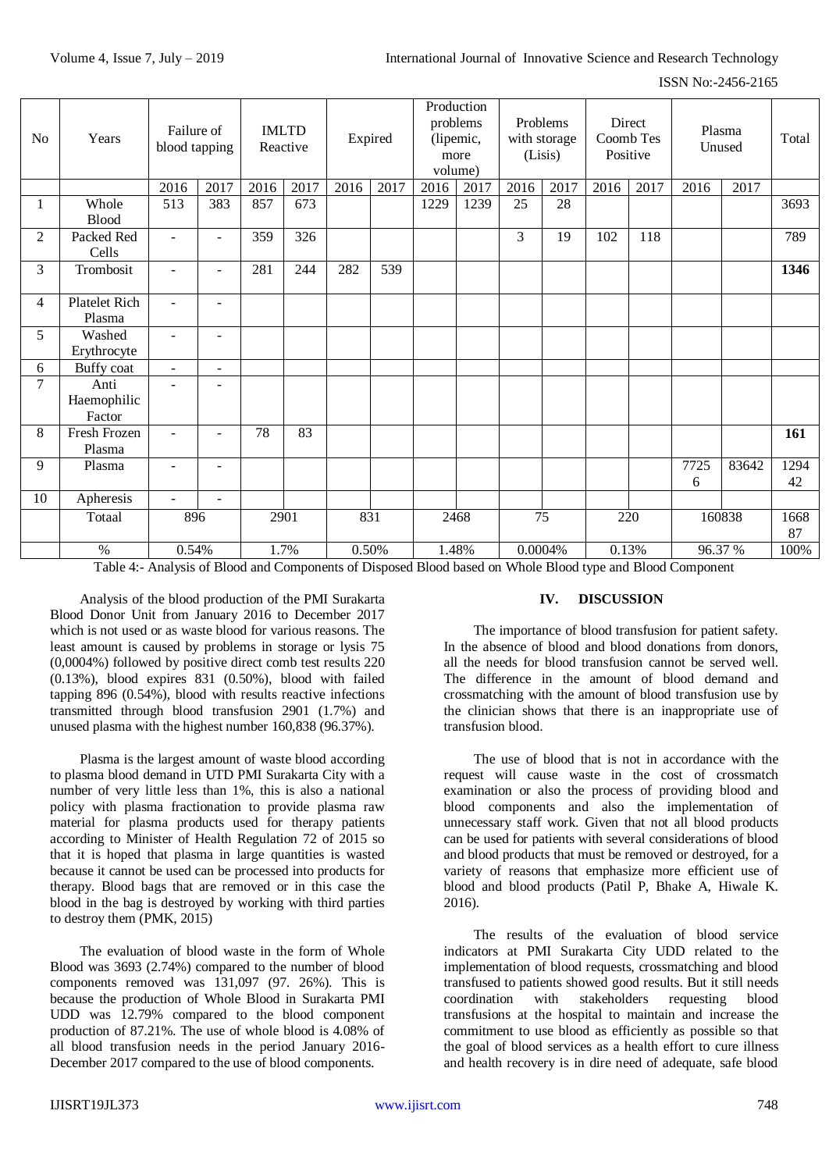| N <sub>o</sub> | Years                         | Failure of<br>blood tapping |                          |      | <b>IMLTD</b><br>Reactive | Expired |      | Production<br>problems<br>(lipemic,<br>more<br>volume) |      | Problems<br>with storage<br>(Lisis) |       | Direct<br>Coomb Tes<br>Positive |       | Plasma<br>Unused                                                 |         | Total      |                       |  |         |      |
|----------------|-------------------------------|-----------------------------|--------------------------|------|--------------------------|---------|------|--------------------------------------------------------|------|-------------------------------------|-------|---------------------------------|-------|------------------------------------------------------------------|---------|------------|-----------------------|--|---------|------|
|                |                               | 2016                        | 2017                     | 2016 | 2017                     | 2016    | 2017 | 2016                                                   | 2017 | 2016                                | 2017  | 2016                            | 2017  | 2016                                                             | 2017    |            |                       |  |         |      |
| 1              | Whole<br><b>Blood</b>         | 513                         | 383                      | 857  | 673                      |         |      | 1229                                                   | 1239 | 25                                  | 28    |                                 |       |                                                                  |         | 3693       |                       |  |         |      |
| $\overline{2}$ | Packed Red<br>Cells           | $\omega$                    | $\blacksquare$           | 359  | 326                      |         |      |                                                        |      | 3                                   | 19    | 102                             | 118   |                                                                  |         | 789        |                       |  |         |      |
| 3              | Trombosit                     | $\blacksquare$              | $\overline{\phantom{a}}$ | 281  | 244                      | 282     | 539  |                                                        |      |                                     |       |                                 |       |                                                                  |         | 1346       |                       |  |         |      |
| 4              | Platelet Rich<br>Plasma       | $\mathbf{r}$                |                          |      |                          |         |      |                                                        |      |                                     |       |                                 |       |                                                                  |         |            |                       |  |         |      |
| 5              | Washed<br>Erythrocyte         | $\overline{\phantom{a}}$    | $\overline{\phantom{a}}$ |      |                          |         |      |                                                        |      |                                     |       |                                 |       |                                                                  |         |            |                       |  |         |      |
| 6              | Buffy coat                    | $\blacksquare$              | $\blacksquare$           |      |                          |         |      |                                                        |      |                                     |       |                                 |       |                                                                  |         |            |                       |  |         |      |
| 7              | Anti<br>Haemophilic<br>Factor | $\blacksquare$              |                          |      |                          |         |      |                                                        |      |                                     |       |                                 |       |                                                                  |         |            |                       |  |         |      |
| 8              | Fresh Frozen<br>Plasma        | $\blacksquare$              |                          | 78   | 83                       |         |      |                                                        |      |                                     |       |                                 |       |                                                                  |         | 161        |                       |  |         |      |
| 9              | Plasma                        | $\overline{\phantom{a}}$    |                          |      |                          |         |      |                                                        |      |                                     |       |                                 |       | 7725<br>6                                                        | 83642   | 1294<br>42 |                       |  |         |      |
| 10             | Apheresis                     | $\blacksquare$              | $\sim$                   |      |                          |         |      |                                                        |      |                                     |       |                                 |       |                                                                  |         |            |                       |  |         |      |
|                | Totaal                        | 896                         |                          | 2901 |                          | 831     |      | 2468                                                   |      | 75                                  |       | 220                             |       | 160838                                                           |         | 1668<br>87 |                       |  |         |      |
|                | $\%$<br>----------            | 0.54%                       |                          | 2.73 |                          |         |      | $\sim$                                                 | 1.7% | $\sim$ $\sim$ $\sim$                | 0.50% | $\sim$                          | 1.48% | $\mathbf{v}$ $\mathbf{v}$ $\mathbf{v}$ $\mathbf{v}$ $\mathbf{v}$ | 0.0004% |            | 0.13%<br>$\mathbf{1}$ |  | 96.37 % | 100% |

Table 4:- Analysis of Blood and Components of Disposed Blood based on Whole Blood type and Blood Component

Analysis of the blood production of the PMI Surakarta Blood Donor Unit from January 2016 to December 2017 which is not used or as waste blood for various reasons. The least amount is caused by problems in storage or lysis 75 (0,0004%) followed by positive direct comb test results 220 (0.13%), blood expires 831 (0.50%), blood with failed tapping 896 (0.54%), blood with results reactive infections transmitted through blood transfusion 2901 (1.7%) and unused plasma with the highest number 160,838 (96.37%).

Plasma is the largest amount of waste blood according to plasma blood demand in UTD PMI Surakarta City with a number of very little less than 1%, this is also a national policy with plasma fractionation to provide plasma raw material for plasma products used for therapy patients according to Minister of Health Regulation 72 of 2015 so that it is hoped that plasma in large quantities is wasted because it cannot be used can be processed into products for therapy. Blood bags that are removed or in this case the blood in the bag is destroyed by working with third parties to destroy them (PMK, 2015)

The evaluation of blood waste in the form of Whole Blood was 3693 (2.74%) compared to the number of blood components removed was 131,097 (97. 26%). This is because the production of Whole Blood in Surakarta PMI UDD was 12.79% compared to the blood component production of 87.21%. The use of whole blood is 4.08% of all blood transfusion needs in the period January 2016- December 2017 compared to the use of blood components.

# **IV. DISCUSSION**

The importance of blood transfusion for patient safety. In the absence of blood and blood donations from donors, all the needs for blood transfusion cannot be served well. The difference in the amount of blood demand and crossmatching with the amount of blood transfusion use by the clinician shows that there is an inappropriate use of transfusion blood.

The use of blood that is not in accordance with the request will cause waste in the cost of crossmatch examination or also the process of providing blood and blood components and also the implementation of unnecessary staff work. Given that not all blood products can be used for patients with several considerations of blood and blood products that must be removed or destroyed, for a variety of reasons that emphasize more efficient use of blood and blood products (Patil P, Bhake A, Hiwale K. 2016).

The results of the evaluation of blood service indicators at PMI Surakarta City UDD related to the implementation of blood requests, crossmatching and blood transfused to patients showed good results. But it still needs coordination with stakeholders requesting blood transfusions at the hospital to maintain and increase the commitment to use blood as efficiently as possible so that the goal of blood services as a health effort to cure illness and health recovery is in dire need of adequate, safe blood